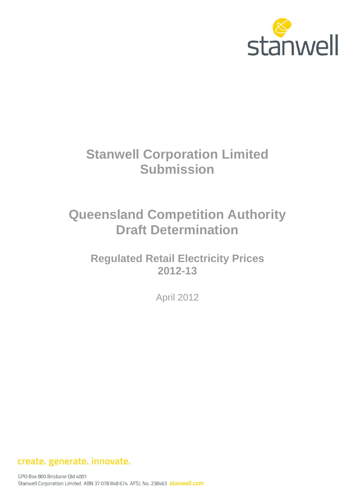

# **Stanwell Corporation Limited Submission**

# **Queensland Competition Authority Draft Determination**

**Regulated Retail Electricity Prices 2012-13**

April 2012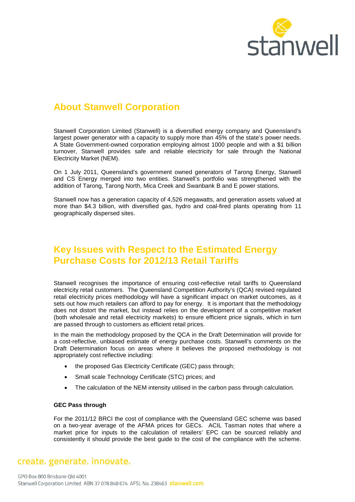

## **About Stanwell Corporation**

Stanwell Corporation Limited (Stanwell) is a diversified energy company and Queensland's largest power generator with a capacity to supply more than 45% of the state's power needs. A State Government-owned corporation employing almost 1000 people and with a \$1 billion turnover, Stanwell provides safe and reliable electricity for sale through the National Electricity Market (NEM).

On 1 July 2011, Queensland's government owned generators of Tarong Energy, Stanwell and CS Energy merged into two entities. Stanwell's portfolio was strengthened with the addition of Tarong, Tarong North, Mica Creek and Swanbank B and E power stations.

Stanwell now has a generation capacity of 4,526 megawatts, and generation assets valued at more than \$4.3 billion, with diversified gas, hydro and coal-fired plants operating from 11 geographically dispersed sites.

# **Key Issues with Respect to the Estimated Energy Purchase Costs for 2012/13 Retail Tariffs**

Stanwell recognises the importance of ensuring cost-reflective retail tariffs to Queensland electricity retail customers. The Queensland Competition Authority's (QCA) revised regulated retail electricity prices methodology will have a significant impact on market outcomes, as it sets out how much retailers can afford to pay for energy. It is important that the methodology does not distort the market, but instead relies on the development of a competitive market (both wholesale and retail electricity markets) to ensure efficient price signals, which in turn are passed through to customers as efficient retail prices.

In the main the methodology proposed by the QCA in the Draft Determination will provide for a cost-reflective, unbiased estimate of energy purchase costs. Stanwell's comments on the Draft Determination focus on areas where it believes the proposed methodology is not appropriately cost reflective including:

- the proposed Gas Electricity Certificate (GEC) pass through;
- Small scale Technology Certificate (STC) prices; and
- The calculation of the NEM intensity utilised in the carbon pass through calculation.

#### **GEC Pass through**

For the 2011/12 BRCI the cost of compliance with the Queensland GEC scheme was based on a two-year average of the AFMA prices for GECs. ACIL Tasman notes that where a market price for inputs to the calculation of retailers' EPC can be sourced reliably and consistently it should provide the best guide to the cost of the compliance with the scheme.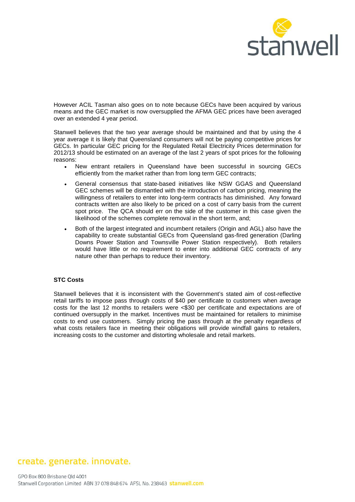

However ACIL Tasman also goes on to note because GECs have been acquired by various means and the GEC market is now oversupplied the AFMA GEC prices have been averaged over an extended 4 year period.

Stanwell believes that the two year average should be maintained and that by using the 4 year average it is likely that Queensland consumers will not be paying competitive prices for GECs. In particular GEC pricing for the Regulated Retail Electricity Prices determination for 2012/13 should be estimated on an average of the last 2 years of spot prices for the following reasons:

- New entrant retailers in Queensland have been successful in sourcing GECs efficiently from the market rather than from long term GEC contracts;
- General consensus that state-based initiatives like NSW GGAS and Queensland GEC schemes will be dismantled with the introduction of carbon pricing, meaning the willingness of retailers to enter into long-term contracts has diminished. Any forward contracts written are also likely to be priced on a cost of carry basis from the current spot price. The QCA should err on the side of the customer in this case given the likelihood of the schemes complete removal in the short term, and;
- Both of the largest integrated and incumbent retailers (Origin and AGL) also have the capability to create substantial GECs from Queensland gas-fired generation (Darling Downs Power Station and Townsville Power Station respectively). Both retailers would have little or no requirement to enter into additional GEC contracts of any nature other than perhaps to reduce their inventory.

#### **STC Costs**

Stanwell believes that it is inconsistent with the Government's stated aim of cost-reflective retail tariffs to impose pass through costs of \$40 per certificate to customers when average costs for the last 12 months to retailers were <\$30 per certificate and expectations are of continued oversupply in the market. Incentives must be maintained for retailers to minimise costs to end use customers. Simply pricing the pass through at the penalty regardless of what costs retailers face in meeting their obligations will provide windfall gains to retailers, increasing costs to the customer and distorting wholesale and retail markets.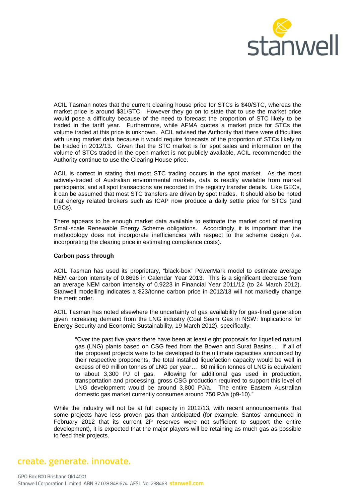

ACIL Tasman notes that the current clearing house price for STCs is \$40/STC, whereas the market price is around \$31/STC. However they go on to state that to use the market price would pose a difficulty because of the need to forecast the proportion of STC likely to be traded in the tariff year. Furthermore, while AFMA quotes a market price for STCs the volume traded at this price is unknown. ACIL advised the Authority that there were difficulties with using market data because it would require forecasts of the proportion of STCs likely to be traded in 2012/13. Given that the STC market is for spot sales and information on the volume of STCs traded in the open market is not publicly available, ACIL recommended the Authority continue to use the Clearing House price.

ACIL is correct in stating that most STC trading occurs in the spot market. As the most actively-traded of Australian environmental markets, data is readily available from market participants, and all spot transactions are recorded in the registry transfer details. Like GECs, it can be assumed that most STC transfers are driven by spot trades. It should also be noted that energy related brokers such as ICAP now produce a daily settle price for STCs (and LGCs).

There appears to be enough market data available to estimate the market cost of meeting Small-scale Renewable Energy Scheme obligations. Accordingly, it is important that the methodology does not incorporate inefficiencies with respect to the scheme design (i.e. incorporating the clearing price in estimating compliance costs).

#### **Carbon pass through**

ACIL Tasman has used its proprietary, "black-box" PowerMark model to estimate average NEM carbon intensity of 0.8696 in Calendar Year 2013. This is a significant decrease from an average NEM carbon intensity of 0.9223 in Financial Year 2011/12 (to 24 March 2012). Stanwell modelling indicates a \$23/tonne carbon price in 2012/13 will not markedly change the merit order.

ACIL Tasman has noted elsewhere the uncertainty of gas availability for gas-fired generation given increasing demand from the LNG industry (Coal Seam Gas in NSW: Implications for Energy Security and Economic Sustainability, 19 March 2012), specifically:

"Over the past five years there have been at least eight proposals for liquefied natural gas (LNG) plants based on CSG feed from the Bowen and Surat Basins.... If all of the proposed projects were to be developed to the ultimate capacities announced by their respective proponents, the total installed liquefaction capacity would be well in excess of 60 million tonnes of LNG per year… 60 million tonnes of LNG is equivalent to about 3,300 PJ of gas. Allowing for additional gas used in production, transportation and processing, gross CSG production required to support this level of LNG development would be around 3,800 PJ/a. The entire Eastern Australian domestic gas market currently consumes around 750 PJ/a (p9-10)."

While the industry will not be at full capacity in 2012/13, with recent announcements that some projects have less proven gas than anticipated (for example, Santos' announced in February 2012 that its current 2P reserves were not sufficient to support the entire development), it is expected that the major players will be retaining as much gas as possible to feed their projects.